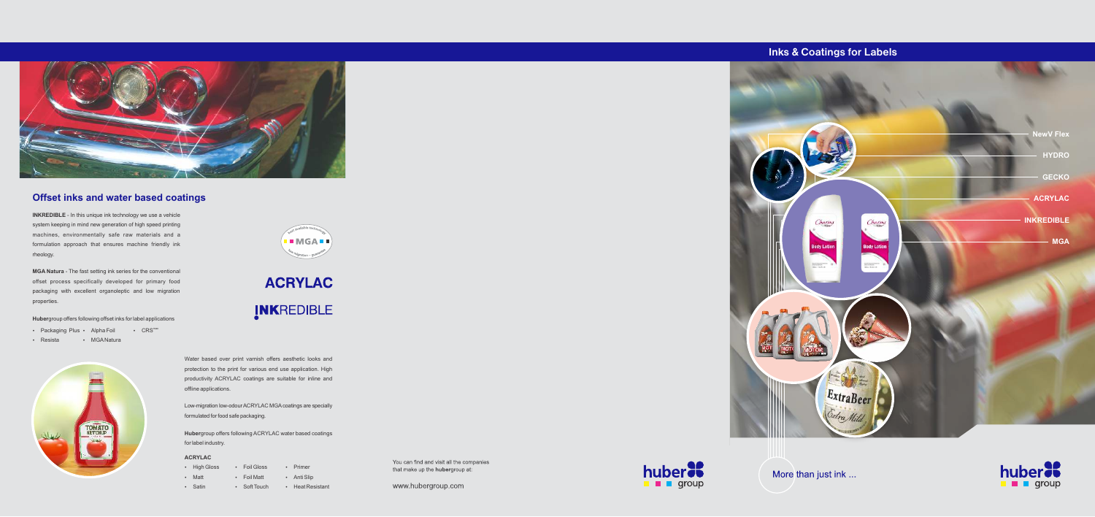**INKREDIBLE** - In this unique ink technology we use a vehicle system keeping in mind new generation of high speed printing machines, environmentally safe raw materials and a formulation approach that ensures machine friendly ink rheology.

**MGA Natura** - The fast setting ink series for the conventional offset process specifically developed for primary food packaging with excellent organoleptic and low migration properties.

**Huber**group offers following offset inks for label applications

•  $CRS<sup>max</sup>$ 

- Packaging Plus Alpha Foil
- Resista · MGANatura



**I** MGA **I** 

**ACRYLAC** INKREDIBLE



### **Offset inks and water based coatings**

Water based over print varnish offers aesthetic looks and protection to the print for various end use application. High productivity ACRYLAC coatings are suitable for inline and offline applications.

Low-migration low-odour ACRYLAC MGAcoatings are specially formulated for food safe packaging.

**Huber**group offers following ACRYLAC water based coatings for label industry.

### **ACRYLAC**

• Satin

- Foil Gloss • High Gloss
- Matt
- Foil Matt  $\cdot$  Anti Slip
	- Soft Touch
- Heat Resistant

• Primer

You can find and visit all the companies that make up the **huber**group at:

www.hubergroup.com



# **Inks & Coatings for Labels**





More than just ink ...